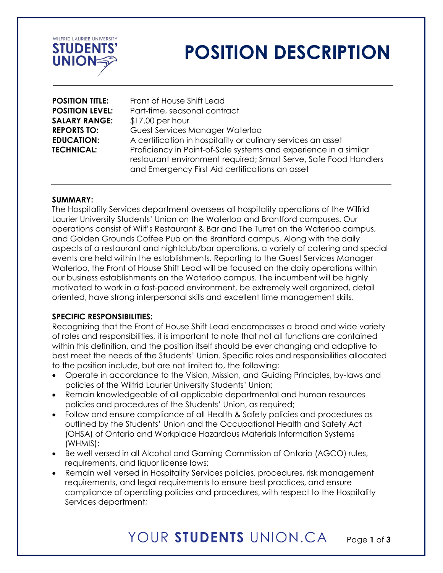

# **POSITION DESCRIPTION**

| Front of House Shift Lead                                                                                                                                                               |
|-----------------------------------------------------------------------------------------------------------------------------------------------------------------------------------------|
| Part-time, seasonal contract                                                                                                                                                            |
| $$17.00$ per hour                                                                                                                                                                       |
| Guest Services Manager Waterloo                                                                                                                                                         |
| A certification in hospitality or culinary services an asset                                                                                                                            |
| Proficiency in Point-of-Sale systems and experience in a similar<br>restaurant environment required; Smart Serve, Safe Food Handlers<br>and Emergency First Aid certifications an asset |
|                                                                                                                                                                                         |

#### **SUMMARY:**

The Hospitality Services department oversees all hospitality operations of the Wilfrid Laurier University Students' Union on the Waterloo and Brantford campuses. Our operations consist of Wilf's Restaurant & Bar and The Turret on the Waterloo campus, and Golden Grounds Coffee Pub on the Brantford campus. Along with the daily aspects of a restaurant and nightclub/bar operations, a variety of catering and special events are held within the establishments. Reporting to the Guest Services Manager Waterloo, the Front of House Shift Lead will be focused on the daily operations within our business establishments on the Waterloo campus. The incumbent will be highly motivated to work in a fast-paced environment, be extremely well organized, detail oriented, have strong interpersonal skills and excellent time management skills.

#### **SPECIFIC RESPONSIBILITIES:**

Recognizing that the Front of House Shift Lead encompasses a broad and wide variety of roles and responsibilities, it is important to note that not all functions are contained within this definition, and the position itself should be ever changing and adaptive to best meet the needs of the Students' Union. Specific roles and responsibilities allocated to the position include, but are not limited to, the following:

- Operate in accordance to the Vision, Mission, and Guiding Principles, by-laws and policies of the Wilfrid Laurier University Students' Union;
- Remain knowledgeable of all applicable departmental and human resources policies and procedures of the Students' Union, as required;
- Follow and ensure compliance of all Health & Safety policies and procedures as outlined by the Students' Union and the Occupational Health and Safety Act (OHSA) of Ontario and Workplace Hazardous Materials Information Systems (WHMIS);
- Be well versed in all Alcohol and Gaming Commission of Ontario (AGCO) rules, requirements, and liquor license laws;
- Remain well versed in Hospitality Services policies, procedures, risk management requirements, and legal requirements to ensure best practices, and ensure compliance of operating policies and procedures, with respect to the Hospitality Services department;

## YOUR STUDENTS UNION.CA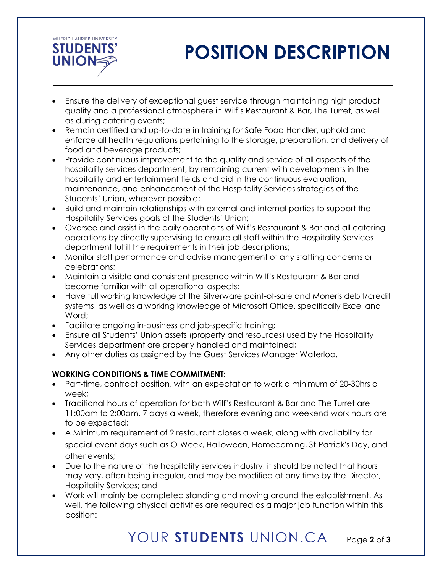

# **POSITION DESCRIPTION**

- Ensure the delivery of exceptional guest service through maintaining high product quality and a professional atmosphere in Wilf's Restaurant & Bar, The Turret, as well as during catering events;
- Remain certified and up-to-date in training for Safe Food Handler, uphold and enforce all health regulations pertaining to the storage, preparation, and delivery of food and beverage products;
- Provide continuous improvement to the quality and service of all aspects of the hospitality services department, by remaining current with developments in the hospitality and entertainment fields and aid in the continuous evaluation, maintenance, and enhancement of the Hospitality Services strategies of the Students' Union, wherever possible;
- Build and maintain relationships with external and internal parties to support the Hospitality Services goals of the Students' Union;
- Oversee and assist in the daily operations of Wilf's Restaurant & Bar and all catering operations by directly supervising to ensure all staff within the Hospitality Services department fulfill the requirements in their job descriptions;
- Monitor staff performance and advise management of any staffing concerns or celebrations;
- Maintain a visible and consistent presence within Wilf's Restaurant & Bar and become familiar with all operational aspects;
- Have full working knowledge of the Silverware point-of-sale and Moneris debit/credit systems, as well as a working knowledge of Microsoft Office, specifically Excel and Word;
- Facilitate ongoing in-business and job-specific training;
- Ensure all Students' Union assets (property and resources) used by the Hospitality Services department are properly handled and maintained;
- Any other duties as assigned by the Guest Services Manager Waterloo.

### **WORKING CONDITIONS & TIME COMMITMENT:**

- Part-time, contract position, with an expectation to work a minimum of 20-30hrs a week;
- Traditional hours of operation for both Wilf's Restaurant & Bar and The Turret are 11:00am to 2:00am, 7 days a week, therefore evening and weekend work hours are to be expected;
- A Minimum requirement of 2 restaurant closes a week, along with availability for special event days such as O-Week, Halloween, Homecoming, St-Patrick's Day, and other events;
- Due to the nature of the hospitality services industry, it should be noted that hours may vary, often being irregular, and may be modified at any time by the Director, Hospitality Services; and
- Work will mainly be completed standing and moving around the establishment. As well, the following physical activities are required as a major job function within this position: